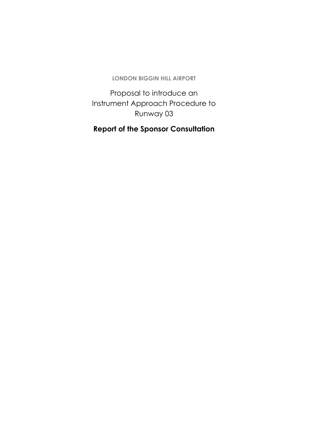Proposal to introduce an Instrument Approach Procedure to Runway 03

### **Report of the Sponsor Consultation**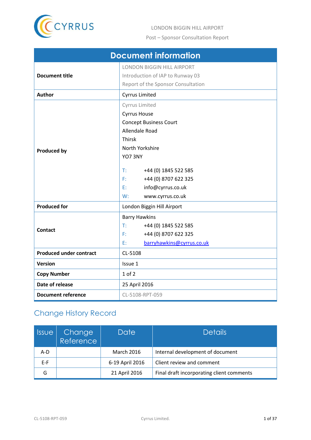

<span id="page-1-0"></span>

| <b>Document information</b>    |                                                                                                                                                                                                                                                         |  |
|--------------------------------|---------------------------------------------------------------------------------------------------------------------------------------------------------------------------------------------------------------------------------------------------------|--|
| <b>Document title</b>          | <b>LONDON BIGGIN HILL AIRPORT</b><br>Introduction of IAP to Runway 03<br>Report of the Sponsor Consultation                                                                                                                                             |  |
| Author                         | <b>Cyrrus Limited</b>                                                                                                                                                                                                                                   |  |
| <b>Produced by</b>             | Cyrrus Limited<br><b>Cyrrus House</b><br><b>Concept Business Court</b><br>Allendale Road<br><b>Thirsk</b><br>North Yorkshire<br>YO73NY<br>T:<br>+44 (0) 1845 522 585<br>F:<br>+44 (0) 8707 622 325<br>info@cyrrus.co.uk<br>E:<br>W:<br>www.cyrrus.co.uk |  |
| <b>Produced for</b>            | London Biggin Hill Airport                                                                                                                                                                                                                              |  |
| <b>Contact</b>                 | <b>Barry Hawkins</b><br>T:<br>+44 (0) 1845 522 585<br>+44 (0) 8707 622 325<br>F:<br>E:<br>barryhawkins@cyrrus.co.uk                                                                                                                                     |  |
| <b>Produced under contract</b> | CL-5108                                                                                                                                                                                                                                                 |  |
| Version                        | Issue 1                                                                                                                                                                                                                                                 |  |
| <b>Copy Number</b>             | $1$ of $2$                                                                                                                                                                                                                                              |  |
| Date of release                | 25 April 2016                                                                                                                                                                                                                                           |  |
| <b>Document reference</b>      | CL-5108-RPT-059                                                                                                                                                                                                                                         |  |

# Change History Record

| <i><b>Issue</b></i> | <b>Change</b><br>Reference | Date              | <b>Details</b>                            |
|---------------------|----------------------------|-------------------|-------------------------------------------|
| A-D                 |                            | <b>March 2016</b> | Internal development of document          |
| $E-F$               |                            | 6-19 April 2016   | Client review and comment                 |
| G                   |                            | 21 April 2016     | Final draft incorporating client comments |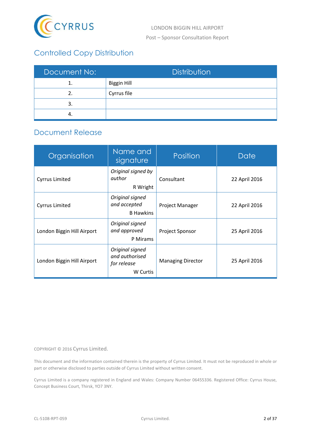

# Controlled Copy Distribution

| Document No: | Distribution       |
|--------------|--------------------|
|              | <b>Biggin Hill</b> |
| 2.           | Cyrrus file        |
| 3.           |                    |
|              |                    |

### Document Release

| Organisation                                                              | Name and<br>signature                                        | Position        | Date          |
|---------------------------------------------------------------------------|--------------------------------------------------------------|-----------------|---------------|
| <b>Cyrrus Limited</b>                                                     | Original signed by<br>author<br>R Wright                     | Consultant      | 22 April 2016 |
| <b>Cyrrus Limited</b>                                                     | Original signed<br>and accepted<br><b>B</b> Hawkins          | Project Manager | 22 April 2016 |
| Original signed<br>and approved<br>London Biggin Hill Airport<br>P Mirams |                                                              | Project Sponsor | 25 April 2016 |
| London Biggin Hill Airport                                                | Original signed<br>and authorised<br>for release<br>W Curtis |                 | 25 April 2016 |

COPYRIGHT © 2016 Cyrrus Limited.

This document and the information contained therein is the property of Cyrrus Limited. It must not be reproduced in whole or part or otherwise disclosed to parties outside of Cyrrus Limited without written consent.

Cyrrus Limited is a company registered in England and Wales: Company Number 06455336. Registered Office: Cyrrus House, Concept Business Court, Thirsk, YO7 3NY.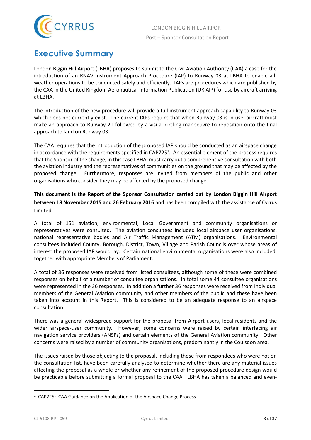

# <span id="page-3-0"></span>**Executive Summary**

London Biggin Hill Airport (LBHA) proposes to submit to the Civil Aviation Authority (CAA) a case for the introduction of an RNAV Instrument Approach Procedure (IAP) to Runway 03 at LBHA to enable allweather operations to be conducted safely and efficiently. IAPs are procedures which are published by the CAA in the United Kingdom Aeronautical Information Publication (UK AIP) for use by aircraft arriving at LBHA.

The introduction of the new procedure will provide a full instrument approach capability to Runway 03 which does not currently exist. The current IAPs require that when Runway 03 is in use, aircraft must make an approach to Runway 21 followed by a visual circling manoeuvre to reposition onto the final approach to land on Runway 03.

The CAA requires that the introduction of the proposed IAP should be conducted as an airspace change in accordance with the requirements specified in CAP725<sup>1</sup>. An essential element of the process requires that the Sponsor of the change, in this case LBHA, must carry out a comprehensive consultation with both the aviation industry and the representatives of communities on the ground that may be affected by the proposed change. Furthermore, responses are invited from members of the public and other organisations who consider they may be affected by the proposed change.

**This document is the Report of the Sponsor Consultation carried out by London Biggin Hill Airport between 18 November 2015 and 26 February 2016** and has been compiled with the assistance of Cyrrus Limited.

A total of 151 aviation, environmental, Local Government and community organisations or representatives were consulted. The aviation consultees included local airspace user organisations, national representative bodies and Air Traffic Management (ATM) organisations. Environmental consultees included County, Borough, District, Town, Village and Parish Councils over whose areas of interest the proposed IAP would lay. Certain national environmental organisations were also included, together with appropriate Members of Parliament.

A total of 36 responses were received from listed consultees, although some of these were combined responses on behalf of a number of consultee organisations. In total some 44 consultee organisations were represented in the 36 responses. In addition a further 36 responses were received from individual members of the General Aviation community and other members of the public and these have been taken into account in this Report. This is considered to be an adequate response to an airspace consultation.

There was a general widespread support for the proposal from Airport users, local residents and the wider airspace-user community. However, some concerns were raised by certain interfacing air navigation service providers (ANSPs) and certain elements of the General Aviation community. Other concerns were raised by a number of community organisations, predominantly in the Coulsdon area.

The issues raised by those objecting to the proposal, including those from respondees who were not on the consultation list, have been carefully analysed to determine whether there are any material issues affecting the proposal as a whole or whether any refinement of the proposed procedure design would be practicable before submitting a formal proposal to the CAA. LBHA has taken a balanced and even-

 $\ddot{\phantom{a}}$ 

 $1$  CAP725: CAA Guidance on the Application of the Airspace Change Process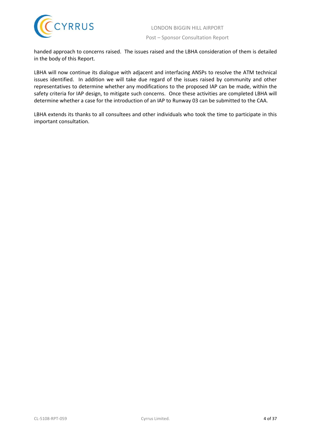Post – Sponsor Consultation Report

handed approach to concerns raised. The issues raised and the LBHA consideration of them is detailed in the body of this Report.

LBHA will now continue its dialogue with adjacent and interfacing ANSPs to resolve the ATM technical issues identified. In addition we will take due regard of the issues raised by community and other representatives to determine whether any modifications to the proposed IAP can be made, within the safety criteria for IAP design, to mitigate such concerns. Once these activities are completed LBHA will determine whether a case for the introduction of an IAP to Runway 03 can be submitted to the CAA.

LBHA extends its thanks to all consultees and other individuals who took the time to participate in this important consultation.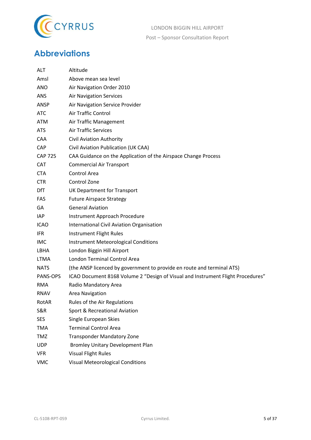

# <span id="page-5-0"></span>**Abbreviations**

| <b>ALT</b>     | Altitude                                                                        |
|----------------|---------------------------------------------------------------------------------|
| Amsl           | Above mean sea level                                                            |
| ANO            | Air Navigation Order 2010                                                       |
| ANS            | <b>Air Navigation Services</b>                                                  |
| ANSP           | Air Navigation Service Provider                                                 |
| ATC            | Air Traffic Control                                                             |
| ATM            | Air Traffic Management                                                          |
| <b>ATS</b>     | <b>Air Traffic Services</b>                                                     |
| CAA            | <b>Civil Aviation Authority</b>                                                 |
| <b>CAP</b>     | Civil Aviation Publication (UK CAA)                                             |
| <b>CAP 725</b> | CAA Guidance on the Application of the Airspace Change Process                  |
| <b>CAT</b>     | <b>Commercial Air Transport</b>                                                 |
| <b>CTA</b>     | Control Area                                                                    |
| <b>CTR</b>     | Control Zone                                                                    |
| DfT            | UK Department for Transport                                                     |
| FAS            | <b>Future Airspace Strategy</b>                                                 |
| GA             | <b>General Aviation</b>                                                         |
| IAP            | Instrument Approach Procedure                                                   |
| <b>ICAO</b>    | International Civil Aviation Organisation                                       |
| <b>IFR</b>     | Instrument Flight Rules                                                         |
| IMC            | <b>Instrument Meteorological Conditions</b>                                     |
| LBHA           | London Biggin Hill Airport                                                      |
| <b>LTMA</b>    | London Terminal Control Area                                                    |
| <b>NATS</b>    | (the ANSP licenced by government to provide en route and terminal ATS)          |
| PANS-OPS       | ICAO Document 8168 Volume 2 "Design of Visual and Instrument Flight Procedures" |
| <b>RMA</b>     | Radio Mandatory Area                                                            |
| <b>RNAV</b>    | Area Navigation                                                                 |
| RotAR          | Rules of the Air Regulations                                                    |
| S&R            | Sport & Recreational Aviation                                                   |
| <b>SES</b>     | Single European Skies                                                           |
| <b>TMA</b>     | <b>Terminal Control Area</b>                                                    |
| <b>TMZ</b>     | <b>Transponder Mandatory Zone</b>                                               |
| <b>UDP</b>     | <b>Bromley Unitary Development Plan</b>                                         |
| <b>VFR</b>     | <b>Visual Flight Rules</b>                                                      |
| <b>VMC</b>     | <b>Visual Meteorological Conditions</b>                                         |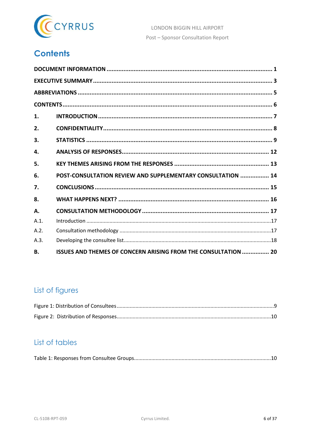

# <span id="page-6-0"></span>**Contents**

| 1.        |                                                                |  |
|-----------|----------------------------------------------------------------|--|
| 2.        |                                                                |  |
| 3.        |                                                                |  |
| 4.        |                                                                |  |
| 5.        |                                                                |  |
| 6.        | POST-CONSULTATION REVIEW AND SUPPLEMENTARY CONSULTATION  14    |  |
| 7.        |                                                                |  |
| 8.        |                                                                |  |
| Α.        |                                                                |  |
| A.1.      |                                                                |  |
| A.2.      |                                                                |  |
| A.3.      |                                                                |  |
| <b>B.</b> | ISSUES AND THEMES OF CONCERN ARISING FROM THE CONSULTATION  20 |  |

### List of figures

# List of tables

|--|--|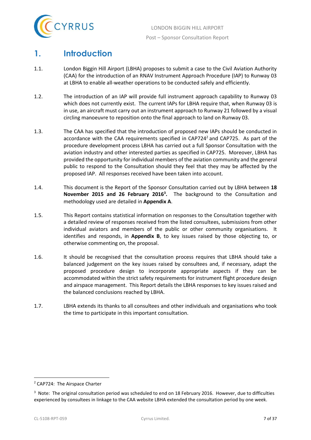

## <span id="page-7-0"></span>**1. Introduction**

- 1.1. London Biggin Hill Airport (LBHA) proposes to submit a case to the Civil Aviation Authority (CAA) for the introduction of an RNAV Instrument Approach Procedure (IAP) to Runway 03 at LBHA to enable all-weather operations to be conducted safely and efficiently.
- 1.2. The introduction of an IAP will provide full instrument approach capability to Runway 03 which does not currently exist. The current IAPs for LBHA require that, when Runway 03 is in use, an aircraft must carry out an instrument approach to Runway 21 followed by a visual circling manoeuvre to reposition onto the final approach to land on Runway 03.
- 1.3. The CAA has specified that the introduction of proposed new IAPs should be conducted in accordance with the CAA requirements specified in CAP724<sup>2</sup> and CAP725. As part of the procedure development process LBHA has carried out a full Sponsor Consultation with the aviation industry and other interested parties as specified in CAP725. Moreover, LBHA has provided the opportunity for individual members of the aviation community and the general public to respond to the Consultation should they feel that they may be affected by the proposed IAP. All responses received have been taken into account.
- 1.4. This document is the Report of the Sponsor Consultation carried out by LBHA between **18 November 2015 and 26 February 2016<sup>3</sup> .** The background to the Consultation and methodology used are detailed in **Appendix A**.
- 1.5. This Report contains statistical information on responses to the Consultation together with a detailed review of responses received from the listed consultees, submissions from other individual aviators and members of the public or other community organisations. It identifies and responds, in **Appendix B**, to key issues raised by those objecting to, or otherwise commenting on, the proposal.
- 1.6. It should be recognised that the consultation process requires that LBHA should take a balanced judgement on the key issues raised by consultees and, if necessary, adapt the proposed procedure design to incorporate appropriate aspects if they can be accommodated within the strict safety requirements for instrument flight procedure design and airspace management. This Report details the LBHA responses to key issues raised and the balanced conclusions reached by LBHA.
- 1.7. LBHA extends its thanks to all consultees and other individuals and organisations who took the time to participate in this important consultation.

 $\overline{a}$ 

<sup>2</sup> CAP724: The Airspace Charter

<sup>&</sup>lt;sup>3</sup> Note: The original consultation period was scheduled to end on 18 February 2016. However, due to difficulties experienced by consultees in linkage to the CAA website LBHA extended the consultation period by one week.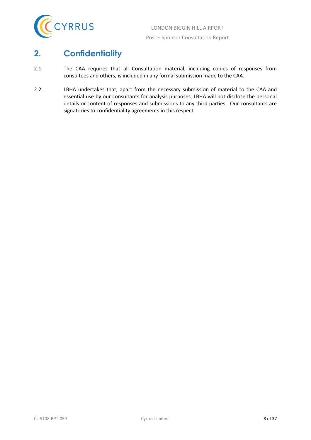

# <span id="page-8-0"></span>**2. Confidentiality**

- 2.1. The CAA requires that all Consultation material, including copies of responses from consultees and others, is included in any formal submission made to the CAA.
- 2.2. LBHA undertakes that, apart from the necessary submission of material to the CAA and essential use by our consultants for analysis purposes, LBHA will not disclose the personal details or content of responses and submissions to any third parties. Our consultants are signatories to confidentiality agreements in this respect.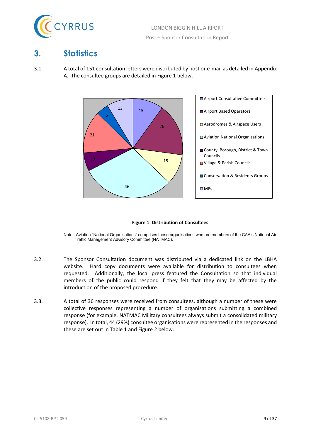

### <span id="page-9-0"></span>**3. Statistics**

3.1. A total of 151 consultation letters were distributed by post or e-mail as detailed in Appendix A. The consultee groups are detailed in Figure 1 below.





- <span id="page-9-1"></span>Note: Aviation "National Organisations" comprises those organisations who are members of the CAA's National Air Traffic Management Advisory Committee (NATMAC).
- 3.2. The Sponsor Consultation document was distributed via a dedicated link on the LBHA website. Hard copy documents were available for distribution to consultees when requested. Additionally, the local press featured the Consultation so that individual members of the public could respond if they felt that they may be affected by the introduction of the proposed procedure.
- 3.3. A total of 36 responses were received from consultees, although a number of these were collective responses representing a number of organisations submitting a combined response (for example, NATMAC Military consultees always submit a consolidated military response). In total, 44 (29%) consultee organisations were represented in the responses and these are set out in Table 1 and Figure 2 below.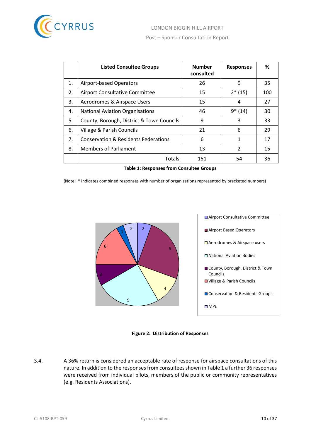

|    | <b>Listed Consultee Groups</b>                  | <b>Number</b><br>consulted | <b>Responses</b> | ℅   |
|----|-------------------------------------------------|----------------------------|------------------|-----|
| 1. | Airport-based Operators                         | 26                         | 9                | 35  |
| 2. | <b>Airport Consultative Committee</b>           | 15                         | $2*(15)$         | 100 |
| 3. | Aerodromes & Airspace Users                     | 15                         | 4                | 27  |
| 4. | <b>National Aviation Organisations</b>          | 46                         | $9*(14)$         | 30  |
| 5. | County, Borough, District & Town Councils       | 9                          | 3                | 33  |
| 6. | Village & Parish Councils                       | 21                         | 6                | 29  |
| 7. | <b>Conservation &amp; Residents Federations</b> | 6                          | 1                | 17  |
| 8. | <b>Members of Parliament</b>                    | 13                         | 2                | 15  |
|    | Totals                                          | 151                        | 54               | 36  |

**Table 1: Responses from Consultee Groups**

<span id="page-10-1"></span>(Note: \* indicates combined responses with number of organisations represented by bracketed numbers)



**Figure 2: Distribution of Responses**

<span id="page-10-0"></span>3.4. A 36% return is considered an acceptable rate of response for airspace consultations of this nature. In addition to the responses from consultees shown in Table 1 a further 36 responses were received from individual pilots, members of the public or community representatives (e.g. Residents Associations).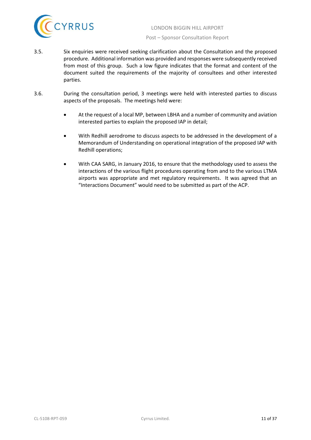

- 3.5. Six enquiries were received seeking clarification about the Consultation and the proposed procedure. Additional information was provided and responses were subsequently received from most of this group. Such a low figure indicates that the format and content of the document suited the requirements of the majority of consultees and other interested parties.
- 3.6. During the consultation period, 3 meetings were held with interested parties to discuss aspects of the proposals. The meetings held were:
	- At the request of a local MP, between LBHA and a number of community and aviation interested parties to explain the proposed IAP in detail;
	- With Redhill aerodrome to discuss aspects to be addressed in the development of a Memorandum of Understanding on operational integration of the proposed IAP with Redhill operations;
	- With CAA SARG, in January 2016, to ensure that the methodology used to assess the interactions of the various flight procedures operating from and to the various LTMA airports was appropriate and met regulatory requirements. It was agreed that an "Interactions Document" would need to be submitted as part of the ACP.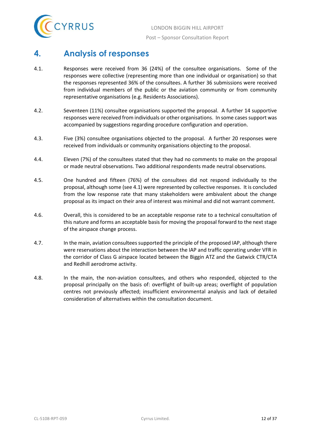

### <span id="page-12-0"></span>**4. Analysis of responses**

- 4.1. Responses were received from 36 (24%) of the consultee organisations. Some of the responses were collective (representing more than one individual or organisation) so that the responses represented 36% of the consultees. A further 36 submissions were received from individual members of the public or the aviation community or from community representative organisations (e.g. Residents Associations).
- 4.2. Seventeen (11%) consultee organisations supported the proposal. A further 14 supportive responses were received from individuals or other organisations. In some cases support was accompanied by suggestions regarding procedure configuration and operation.
- 4.3. Five (3%) consultee organisations objected to the proposal. A further 20 responses were received from individuals or community organisations objecting to the proposal.
- 4.4. Eleven (7%) of the consultees stated that they had no comments to make on the proposal or made neutral observations. Two additional respondents made neutral observations.
- 4.5. One hundred and fifteen (76%) of the consultees did not respond individually to the proposal, although some (see 4.1) were represented by collective responses. It is concluded from the low response rate that many stakeholders were ambivalent about the change proposal as its impact on their area of interest was minimal and did not warrant comment.
- 4.6. Overall, this is considered to be an acceptable response rate to a technical consultation of this nature and forms an acceptable basis for moving the proposal forward to the next stage of the airspace change process.
- 4.7. In the main, aviation consultees supported the principle of the proposed IAP, although there were reservations about the interaction between the IAP and traffic operating under VFR in the corridor of Class G airspace located between the Biggin ATZ and the Gatwick CTR/CTA and Redhill aerodrome activity.
- 4.8. In the main, the non-aviation consultees, and others who responded, objected to the proposal principally on the basis of: overflight of built-up areas; overflight of population centres not previously affected; insufficient environmental analysis and lack of detailed consideration of alternatives within the consultation document.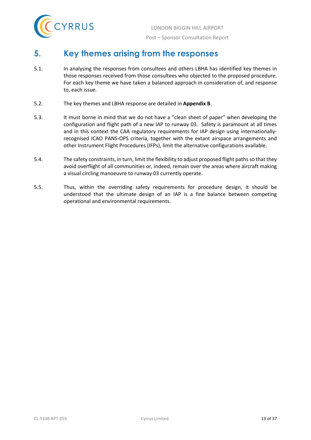

## <span id="page-13-0"></span>**5. Key themes arising from the responses**

- 5.1. In analysing the responses from consultees and others LBHA has identified key themes in those responses received from those consultees who objected to the proposed procedure. For each key theme we have taken a balanced approach in consideration of, and response to, each issue.
- 5.2. The key themes and LBHA response are detailed in **Appendix B**.
- 5.3. It must borne in mind that we do not have a "clean sheet of paper" when developing the configuration and flight path of a new IAP to runway 03. Safety is paramount at all times and in this context the CAA regulatory requirements for IAP design using internationallyrecognised ICAO PANS-OPS criteria, together with the extant airspace arrangements and other Instrument Flight Procedures (IFPs), limit the alternative configurations available.
- 5.4. The safety constraints, in turn, limit the flexibility to adjust proposed flight paths so that they avoid overflight of all communities or, indeed, remain over the areas where aircraft making a visual circling manoeuvre to runway 03 currently operate.
- 5.5. Thus, within the overriding safety requirements for procedure design, it should be understood that the ultimate design of an IAP is a fine balance between competing operational and environmental requirements.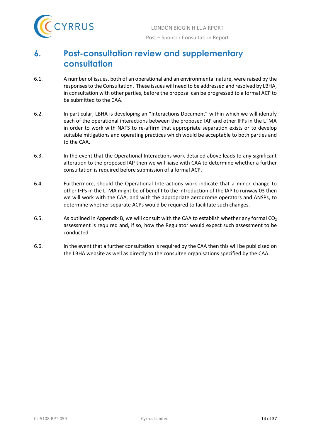

## <span id="page-14-0"></span>**6. Post-consultation review and supplementary consultation**

- 6.1. A number of issues, both of an operational and an environmental nature, were raised by the responses to the Consultation. These issues will need to be addressed and resolved by LBHA, in consultation with other parties, before the proposal can be progressed to a formal ACP to be submitted to the CAA.
- 6.2. In particular, LBHA is developing an "Interactions Document" within which we will identify each of the operational interactions between the proposed IAP and other IFPs in the LTMA in order to work with NATS to re-affirm that appropriate separation exists or to develop suitable mitigations and operating practices which would be acceptable to both parties and to the CAA.
- 6.3. In the event that the Operational Interactions work detailed above leads to any significant alteration to the proposed IAP then we will liaise with CAA to determine whether a further consultation is required before submission of a formal ACP.
- 6.4. Furthermore, should the Operational Interactions work indicate that a minor change to other IFPs in the LTMA might be of benefit to the introduction of the IAP to runway 03 then we will work with the CAA, and with the appropriate aerodrome operators and ANSPs, to determine whether separate ACPs would be required to facilitate such changes.
- 6.5. As outlined in Appendix B, we will consult with the CAA to establish whether any formal  $CO<sub>2</sub>$ assessment is required and, if so, how the Regulator would expect such assessment to be conducted.
- 6.6. In the event that a further consultation is required by the CAA then this will be publicised on the LBHA website as well as directly to the consultee organisations specified by the CAA.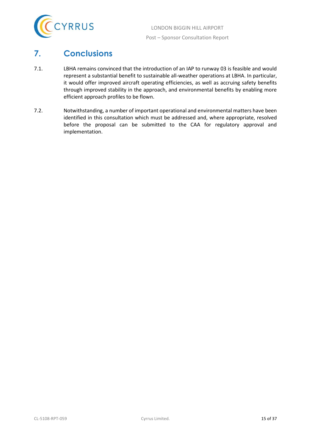

## <span id="page-15-0"></span>**7. Conclusions**

- 7.1. LBHA remains convinced that the introduction of an IAP to runway 03 is feasible and would represent a substantial benefit to sustainable all-weather operations at LBHA. In particular, it would offer improved aircraft operating efficiencies, as well as accruing safety benefits through improved stability in the approach, and environmental benefits by enabling more efficient approach profiles to be flown.
- 7.2. Notwithstanding, a number of important operational and environmental matters have been identified in this consultation which must be addressed and, where appropriate, resolved before the proposal can be submitted to the CAA for regulatory approval and implementation.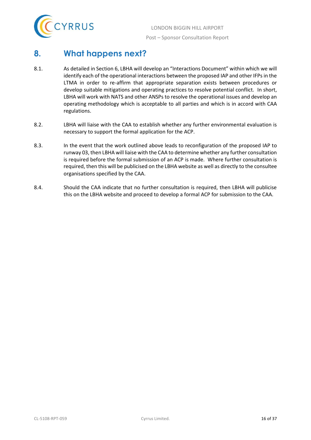

### <span id="page-16-0"></span>**8. What happens next?**

- 8.1. As detailed in Section 6, LBHA will develop an "Interactions Document" within which we will identify each of the operational interactions between the proposed IAP and other IFPs in the LTMA in order to re-affirm that appropriate separation exists between procedures or develop suitable mitigations and operating practices to resolve potential conflict. In short, LBHA will work with NATS and other ANSPs to resolve the operational issues and develop an operating methodology which is acceptable to all parties and which is in accord with CAA regulations.
- 8.2. LBHA will liaise with the CAA to establish whether any further environmental evaluation is necessary to support the formal application for the ACP.
- 8.3. In the event that the work outlined above leads to reconfiguration of the proposed IAP to runway 03, then LBHA will liaise with the CAA to determine whether any further consultation is required before the formal submission of an ACP is made. Where further consultation is required, then this will be publicised on the LBHA website as well as directly to the consultee organisations specified by the CAA.
- 8.4. Should the CAA indicate that no further consultation is required, then LBHA will publicise this on the LBHA website and proceed to develop a formal ACP for submission to the CAA.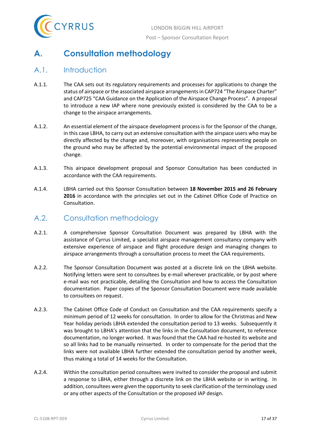

# <span id="page-17-0"></span>**A. Consultation methodology**

#### <span id="page-17-1"></span>A.1. Introduction

- A.1.1. The CAA sets out its regulatory requirements and processes for applications to change the status of airspace or the associated airspace arrangements in CAP724 "The Airspace Charter" and CAP725 "CAA Guidance on the Application of the Airspace Change Process". A proposal to introduce a new IAP where none previously existed is considered by the CAA to be a change to the airspace arrangements.
- A.1.2. An essential element of the airspace development process is for the Sponsor of the change, in this case LBHA, to carry out an extensive consultation with the airspace users who may be directly affected by the change and, moreover, with organisations representing people on the ground who may be affected by the potential environmental impact of the proposed change.
- A.1.3. This airspace development proposal and Sponsor Consultation has been conducted in accordance with the CAA requirements.
- A.1.4. LBHA carried out this Sponsor Consultation between **18 November 2015 and 26 February 2016** in accordance with the principles set out in the Cabinet Office Code of Practice on Consultation.

#### <span id="page-17-2"></span>A.2. Consultation methodology

- A.2.1. A comprehensive Sponsor Consultation Document was prepared by LBHA with the assistance of Cyrrus Limited, a specialist airspace management consultancy company with extensive experience of airspace and flight procedure design and managing changes to airspace arrangements through a consultation process to meet the CAA requirements.
- A.2.2. The Sponsor Consultation Document was posted at a discrete link on the LBHA website. Notifying letters were sent to consultees by e-mail wherever practicable, or by post where e-mail was not practicable, detailing the Consultation and how to access the Consultation documentation. Paper copies of the Sponsor Consultation Document were made available to consultees on request.
- A.2.3. The Cabinet Office Code of Conduct on Consultation and the CAA requirements specify a minimum period of 12 weeks for consultation. In order to allow for the Christmas and New Year holiday periods LBHA extended the consultation period to 13 weeks. Subsequently it was brought to LBHA's attention that the links in the Consultation document, to reference documentation, no longer worked. It was found that the CAA had re-hosted its website and so all links had to be manually reinserted. In order to compensate for the period that the links were not available LBHA further extended the consultation period by another week, thus making a total of 14 weeks for the Consultation.
- A.2.4. Within the consultation period consultees were invited to consider the proposal and submit a response to LBHA, either through a discrete link on the LBHA website or in writing. In addition, consultees were given the opportunity to seek clarification of the terminology used or any other aspects of the Consultation or the proposed IAP design.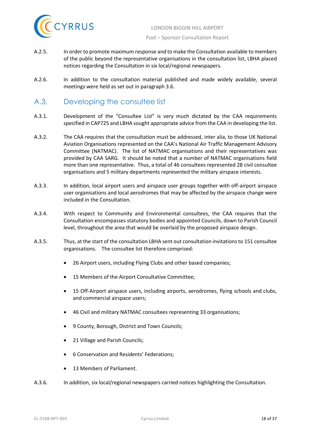

- A.2.5. In order to promote maximum response and to make the Consultation available to members of the public beyond the representative organisations in the consultation list, LBHA placed notices regarding the Consultation in six local/regional newspapers.
- A.2.6. In addition to the consultation material published and made widely available, several meetings were held as set out in paragraph 3.6.

#### <span id="page-18-0"></span>A.3. Developing the consultee list

- A.3.1. Development of the "Consultee List" is very much dictated by the CAA requirements specified in CAP725 and LBHA sought appropriate advice from the CAA in developing the list.
- A.3.2. The CAA requires that the consultation must be addressed, inter alia, to those UK National Aviation Organisations represented on the CAA's National Air Traffic Management Advisory Committee (NATMAC). The list of NATMAC organisations and their representatives was provided by CAA SARG. It should be noted that a number of NATMAC organisations field more than one representative. Thus, a total of 46 consultees represented 28 civil consultee organisations and 5 military departments represented the military airspace interests.
- A.3.3. In addition, local airport users and airspace user groups together with off-airport airspace user organisations and local aerodromes that may be affected by the airspace change were included in the Consultation.
- A.3.4. With respect to Community and Environmental consultees, the CAA requires that the Consultation encompasses statutory bodies and appointed Councils, down to Parish Council level, throughout the area that would be overlaid by the proposed airspace design.
- A.3.5. Thus, at the start of the consultation LBHA sent out consultation invitations to 151 consultee organisations. The consultee list therefore comprised:
	- 26 Airport users, including Flying Clubs and other based companies;
	- 15 Members of the Airport Consultative Committee;
	- 15 Off-Airport airspace users, including airports, aerodromes, flying schools and clubs, and commercial airspace users;
	- 46 Civil and military NATMAC consultees representing 33 organisations;
	- 9 County, Borough, District and Town Councils;
	- 21 Village and Parish Councils;
	- 6 Conservation and Residents' Federations;
	- 13 Members of Parliament.
- A.3.6. In addition, six local/regional newspapers carried notices highlighting the Consultation.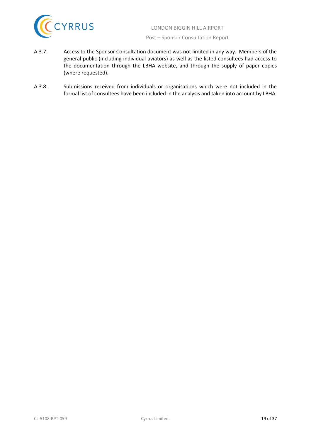

- A.3.7. Access to the Sponsor Consultation document was not limited in any way. Members of the general public (including individual aviators) as well as the listed consultees had access to the documentation through the LBHA website, and through the supply of paper copies (where requested).
- A.3.8. Submissions received from individuals or organisations which were not included in the formal list of consultees have been included in the analysis and taken into account by LBHA.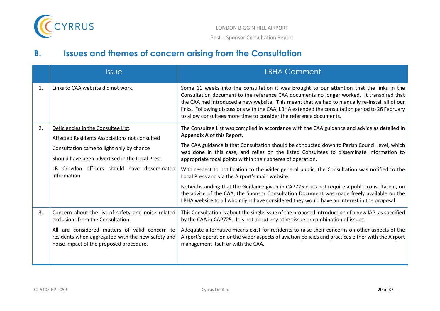

# **B. Issues and themes of concern arising from the Consultation**

<span id="page-20-0"></span>

|    | <b>Issue</b>                                                                                                                                   | <b>LBHA Comment</b>                                                                                                                                                                                                                                                                                                                                                                                                                                               |
|----|------------------------------------------------------------------------------------------------------------------------------------------------|-------------------------------------------------------------------------------------------------------------------------------------------------------------------------------------------------------------------------------------------------------------------------------------------------------------------------------------------------------------------------------------------------------------------------------------------------------------------|
| 1. | Links to CAA website did not work.                                                                                                             | Some 11 weeks into the consultation it was brought to our attention that the links in the<br>Consultation document to the reference CAA documents no longer worked. It transpired that<br>the CAA had introduced a new website. This meant that we had to manually re-install all of our<br>links. Following discussions with the CAA, LBHA extended the consultation period to 26 February<br>to allow consultees more time to consider the reference documents. |
| 2. | Deficiencies in the Consultee List.<br>Affected Residents Associations not consulted                                                           | The Consultee List was compiled in accordance with the CAA guidance and advice as detailed in<br>Appendix A of this Report.                                                                                                                                                                                                                                                                                                                                       |
|    | Consultation came to light only by chance<br>Should have been advertised in the Local Press                                                    | The CAA guidance is that Consultation should be conducted down to Parish Council level, which<br>was done in this case, and relies on the listed Consultees to disseminate information to<br>appropriate focal points within their spheres of operation.                                                                                                                                                                                                          |
|    | LB Croydon officers should have disseminated<br>information                                                                                    | With respect to notification to the wider general public, the Consultation was notified to the<br>Local Press and via the Airport's main website.                                                                                                                                                                                                                                                                                                                 |
|    |                                                                                                                                                | Notwithstanding that the Guidance given in CAP725 does not require a public consultation, on<br>the advice of the CAA, the Sponsor Consultation Document was made freely available on the<br>LBHA website to all who might have considered they would have an interest in the proposal.                                                                                                                                                                           |
| 3. | Concern about the list of safety and noise related<br>exclusions from the Consultation.                                                        | This Consultation is about the single issue of the proposed introduction of a new IAP, as specified<br>by the CAA in CAP725. It is not about any other issue or combination of issues.                                                                                                                                                                                                                                                                            |
|    | All are considered matters of valid concern to<br>residents when aggregated with the new safety and<br>noise impact of the proposed procedure. | Adequate alternative means exist for residents to raise their concerns on other aspects of the<br>Airport's operation or the wider aspects of aviation policies and practices either with the Airport<br>management itself or with the CAA.                                                                                                                                                                                                                       |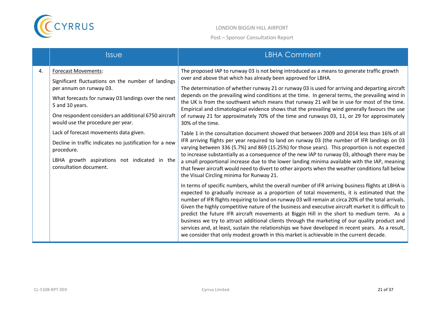

|    | <b>Issue</b>                                                                                                                                                                                                                                                                                                                                                                                                                                                                    | <b>LBHA Comment</b>                                                                                                                                                                                                                                                                                                                                                                                                                                                                                                                                                                                                                                                                                                                                                                                                                                                                                                                                                                                                                                                                                                                                                                                                                                                                                                                                                                                                                                                                                                                                                                                                                                                                                                                                                                                                                                                                                                                                                                                                                                                                                                                                               |
|----|---------------------------------------------------------------------------------------------------------------------------------------------------------------------------------------------------------------------------------------------------------------------------------------------------------------------------------------------------------------------------------------------------------------------------------------------------------------------------------|-------------------------------------------------------------------------------------------------------------------------------------------------------------------------------------------------------------------------------------------------------------------------------------------------------------------------------------------------------------------------------------------------------------------------------------------------------------------------------------------------------------------------------------------------------------------------------------------------------------------------------------------------------------------------------------------------------------------------------------------------------------------------------------------------------------------------------------------------------------------------------------------------------------------------------------------------------------------------------------------------------------------------------------------------------------------------------------------------------------------------------------------------------------------------------------------------------------------------------------------------------------------------------------------------------------------------------------------------------------------------------------------------------------------------------------------------------------------------------------------------------------------------------------------------------------------------------------------------------------------------------------------------------------------------------------------------------------------------------------------------------------------------------------------------------------------------------------------------------------------------------------------------------------------------------------------------------------------------------------------------------------------------------------------------------------------------------------------------------------------------------------------------------------------|
| 4. | <b>Forecast Movements:</b><br>Significant fluctuations on the number of landings<br>per annum on runway 03.<br>What forecasts for runway 03 landings over the next<br>5 and 10 years.<br>One respondent considers an additional 6750 aircraft<br>would use the procedure per year.<br>Lack of forecast movements data given.<br>Decline in traffic indicates no justification for a new<br>procedure.<br>LBHA growth aspirations not indicated in the<br>consultation document. | The proposed IAP to runway 03 is not being introduced as a means to generate traffic growth<br>over and above that which has already been approved for LBHA.<br>The determination of whether runway 21 or runway 03 is used for arriving and departing aircraft<br>depends on the prevailing wind conditions at the time. In general terms, the prevailing wind in<br>the UK is from the southwest which means that runway 21 will be in use for most of the time.<br>Empirical and climatological evidence shows that the prevailing wind generally favours the use<br>of runway 21 for approximately 70% of the time and runways 03, 11, or 29 for approximately<br>30% of the time.<br>Table 1 in the consultation document showed that between 2009 and 2014 less than 16% of all<br>IFR arriving flights per year required to land on runway 03 (the number of IFR landings on 03<br>varying between 336 (5.7%) and 869 (15.25%) for those years). This proportion is not expected<br>to increase substantially as a consequence of the new IAP to runway 03, although there may be<br>a small proportional increase due to the lower landing minima available with the IAP, meaning<br>that fewer aircraft would need to divert to other airports when the weather conditions fall below<br>the Visual Circling minima for Runway 21.<br>In terms of specific numbers, whilst the overall number of IFR arriving business flights at LBHA is<br>expected to gradually increase as a proportion of total movements, it is estimated that the<br>number of IFR flights requiring to land on runway 03 will remain at circa 20% of the total arrivals.<br>Given the highly competitive nature of the business and executive aircraft market it is difficult to<br>predict the future IFR aircraft movements at Biggin Hill in the short to medium term. As a<br>business we try to attract additional clients through the marketing of our quality product and<br>services and, at least, sustain the relationships we have developed in recent years. As a result,<br>we consider that only modest growth in this market is achievable in the current decade. |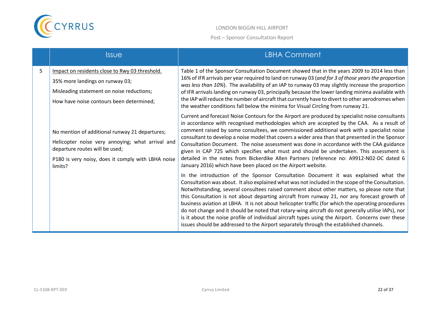

|   | <b>Issue</b>                                                                                                                                                                                          | <b>LBHA Comment</b>                                                                                                                                                                                                                                                                                                                                                                                                                                                                                                                                                                                                                                                                                                                                                                              |
|---|-------------------------------------------------------------------------------------------------------------------------------------------------------------------------------------------------------|--------------------------------------------------------------------------------------------------------------------------------------------------------------------------------------------------------------------------------------------------------------------------------------------------------------------------------------------------------------------------------------------------------------------------------------------------------------------------------------------------------------------------------------------------------------------------------------------------------------------------------------------------------------------------------------------------------------------------------------------------------------------------------------------------|
| 5 | Impact on residents close to Rwy 03 threshold.<br>35% more landings on runway 03;<br>Misleading statement on noise reductions;<br>How have noise contours been determined;                            | Table 1 of the Sponsor Consultation Document showed that in the years 2009 to 2014 less than<br>16% of IFR arrivals per year required to land on runway 03 (and for 3 of those years the proportion<br>was less than 10%). The availability of an IAP to runway 03 may slightly increase the proportion<br>of IFR arrivals landing on runway 03, principally because the lower landing minima available with<br>the IAP will reduce the number of aircraft that currently have to divert to other aerodromes when<br>the weather conditions fall below the minima for Visual Circling from runway 21.                                                                                                                                                                                            |
|   | No mention of additional runway 21 departures;<br>Helicopter noise very annoying; what arrival and<br>departure routes will be used;<br>P180 is very noisy, does it comply with LBHA noise<br>limits? | Current and forecast Noise Contours for the Airport are produced by specialist noise consultants<br>in accordance with recognised methodologies which are accepted by the CAA. As a result of<br>comment raised by some consultees, we commissioned additional work with a specialist noise<br>consultant to develop a noise model that covers a wider area than that presented in the Sponsor<br>Consultation Document. The noise assessment was done in accordance with the CAA guidance<br>given in CAP 725 which specifies what must and should be undertaken. This assessment is<br>detailed in the notes from Bickerdike Allen Partners (reference no: A9912-N02-DC dated 6<br>January 2016) which have been placed on the Airport website.                                                |
|   |                                                                                                                                                                                                       | In the introduction of the Sponsor Consultation Document it was explained what the<br>Consultation was about. It also explained what was not included in the scope of the Consultation.<br>Notwithstanding, several consultees raised comment about other matters, so please note that<br>this Consultation is not about departing aircraft from runway 21, nor any forecast growth of<br>business aviation at LBHA. It is not about helicopter traffic (for which the operating procedures<br>do not change and it should be noted that rotary-wing aircraft do not generally utilise IAPs), nor<br>is it about the noise profile of individual aircraft types using the Airport. Concerns over these<br>issues should be addressed to the Airport separately through the established channels. |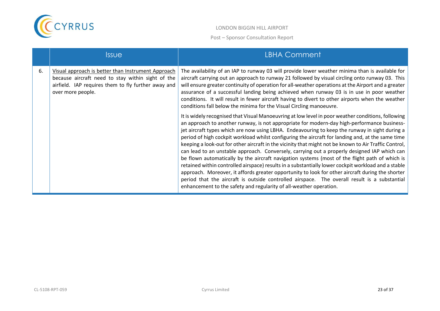

|    | <b>Issue</b>                                                                                                                                                                        | <b>LBHA Comment</b>                                                                                                                                                                                                                                                                                                                                                                                                                                                                                                                                                                                                                                                                                                                                                                                                                                                                                                                                                                                                                                                                                                                                                                                                                                                                                                                                                                                                                                                                                                                                                                                                                                                                       |
|----|-------------------------------------------------------------------------------------------------------------------------------------------------------------------------------------|-------------------------------------------------------------------------------------------------------------------------------------------------------------------------------------------------------------------------------------------------------------------------------------------------------------------------------------------------------------------------------------------------------------------------------------------------------------------------------------------------------------------------------------------------------------------------------------------------------------------------------------------------------------------------------------------------------------------------------------------------------------------------------------------------------------------------------------------------------------------------------------------------------------------------------------------------------------------------------------------------------------------------------------------------------------------------------------------------------------------------------------------------------------------------------------------------------------------------------------------------------------------------------------------------------------------------------------------------------------------------------------------------------------------------------------------------------------------------------------------------------------------------------------------------------------------------------------------------------------------------------------------------------------------------------------------|
| 6. | Visual approach is better than Instrument Approach<br>because aircraft need to stay within sight of the<br>airfield. IAP requires them to fly further away and<br>over more people. | The availability of an IAP to runway 03 will provide lower weather minima than is available for<br>aircraft carrying out an approach to runway 21 followed by visual circling onto runway 03. This<br>will ensure greater continuity of operation for all-weather operations at the Airport and a greater<br>assurance of a successful landing being achieved when runway 03 is in use in poor weather<br>conditions. It will result in fewer aircraft having to divert to other airports when the weather<br>conditions fall below the minima for the Visual Circling manoeuvre.<br>It is widely recognised that Visual Manoeuvring at low level in poor weather conditions, following<br>an approach to another runway, is not appropriate for modern-day high-performance business-<br>jet aircraft types which are now using LBHA. Endeavouring to keep the runway in sight during a<br>period of high cockpit workload whilst configuring the aircraft for landing and, at the same time<br>keeping a look-out for other aircraft in the vicinity that might not be known to Air Traffic Control,<br>can lead to an unstable approach. Conversely, carrying out a properly designed IAP which can<br>be flown automatically by the aircraft navigation systems (most of the flight path of which is<br>retained within controlled airspace) results in a substantially lower cockpit workload and a stable<br>approach. Moreover, it affords greater opportunity to look for other aircraft during the shorter<br>period that the aircraft is outside controlled airspace. The overall result is a substantial<br>enhancement to the safety and regularity of all-weather operation. |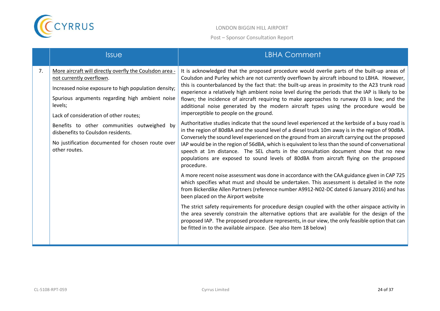

|    | <i><b>Issue</b></i>                                                                                                                                                                                                                                                                                                                                                                                            | <b>LBHA Comment</b>                                                                                                                                                                                                                                                                                                                                                                                                                                                                                                                                                                                                                                                                                                                                                                                                                                                                                                                                                                                                                                                                                                                                                                                                                              |
|----|----------------------------------------------------------------------------------------------------------------------------------------------------------------------------------------------------------------------------------------------------------------------------------------------------------------------------------------------------------------------------------------------------------------|--------------------------------------------------------------------------------------------------------------------------------------------------------------------------------------------------------------------------------------------------------------------------------------------------------------------------------------------------------------------------------------------------------------------------------------------------------------------------------------------------------------------------------------------------------------------------------------------------------------------------------------------------------------------------------------------------------------------------------------------------------------------------------------------------------------------------------------------------------------------------------------------------------------------------------------------------------------------------------------------------------------------------------------------------------------------------------------------------------------------------------------------------------------------------------------------------------------------------------------------------|
| 7. | More aircraft will directly overfly the Coulsdon area -<br>not currently overflown.<br>Increased noise exposure to high population density;<br>Spurious arguments regarding high ambient noise<br>levels;<br>Lack of consideration of other routes;<br>Benefits to other communities outweighed by<br>disbenefits to Coulsdon residents.<br>No justification documented for chosen route over<br>other routes. | It is acknowledged that the proposed procedure would overlie parts of the built-up areas of<br>Coulsdon and Purley which are not currently overflown by aircraft inbound to LBHA. However,<br>this is counterbalanced by the fact that: the built-up areas in proximity to the A23 trunk road<br>experience a relatively high ambient noise level during the periods that the IAP is likely to be<br>flown; the incidence of aircraft requiring to make approaches to runway 03 is low; and the<br>additional noise generated by the modern aircraft types using the procedure would be<br>imperceptible to people on the ground.<br>Authoritative studies indicate that the sound level experienced at the kerbside of a busy road is<br>in the region of 80dBA and the sound level of a diesel truck 10m away is in the region of 90dBA.<br>Conversely the sound level experienced on the ground from an aircraft carrying out the proposed<br>IAP would be in the region of 56dBA, which is equivalent to less than the sound of conversational<br>speech at 1m distance. The SEL charts in the consultation document show that no new<br>populations are exposed to sound levels of 80dBA from aircraft flying on the proposed<br>procedure. |
|    |                                                                                                                                                                                                                                                                                                                                                                                                                | A more recent noise assessment was done in accordance with the CAA guidance given in CAP 725<br>which specifies what must and should be undertaken. This assessment is detailed in the note<br>from Bickerdike Allen Partners (reference number A9912-N02-DC dated 6 January 2016) and has<br>been placed on the Airport website                                                                                                                                                                                                                                                                                                                                                                                                                                                                                                                                                                                                                                                                                                                                                                                                                                                                                                                 |
|    |                                                                                                                                                                                                                                                                                                                                                                                                                | The strict safety requirements for procedure design coupled with the other airspace activity in<br>the area severely constrain the alternative options that are available for the design of the<br>proposed IAP. The proposed procedure represents, in our view, the only feasible option that can<br>be fitted in to the available airspace. (See also Item 18 below)                                                                                                                                                                                                                                                                                                                                                                                                                                                                                                                                                                                                                                                                                                                                                                                                                                                                           |
|    |                                                                                                                                                                                                                                                                                                                                                                                                                |                                                                                                                                                                                                                                                                                                                                                                                                                                                                                                                                                                                                                                                                                                                                                                                                                                                                                                                                                                                                                                                                                                                                                                                                                                                  |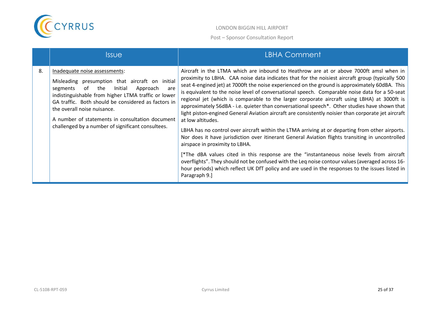

| 8.<br>Inadequate noise assessments:<br>Misleading presumption that aircraft on initial<br>the<br>Initial<br>of<br>Approach<br>segments<br>are<br>indistinguishable from higher LTMA traffic or lower        | <i><u><b>Issue</b></u></i>                          | <b>LBHA Comment</b>                                                                                                                                                                                                                                                                                                                                                                                                                                                                                                                                                                                                                                                                                                                                                                                                                                                                                                                                                                                                                                                                                                                                                                                               |
|-------------------------------------------------------------------------------------------------------------------------------------------------------------------------------------------------------------|-----------------------------------------------------|-------------------------------------------------------------------------------------------------------------------------------------------------------------------------------------------------------------------------------------------------------------------------------------------------------------------------------------------------------------------------------------------------------------------------------------------------------------------------------------------------------------------------------------------------------------------------------------------------------------------------------------------------------------------------------------------------------------------------------------------------------------------------------------------------------------------------------------------------------------------------------------------------------------------------------------------------------------------------------------------------------------------------------------------------------------------------------------------------------------------------------------------------------------------------------------------------------------------|
| the overall noise nuisance.<br>A number of statements in consultation document<br>at low altitudes.<br>challenged by a number of significant consultees.<br>airspace in proximity to LBHA.<br>Paragraph 9.] | GA traffic. Both should be considered as factors in | Aircraft in the LTMA which are inbound to Heathrow are at or above 7000ft amsl when in<br>proximity to LBHA. CAA noise data indicates that for the noisiest aircraft group (typically 500<br>seat 4-engined jet) at 7000ft the noise experienced on the ground is approximately 60dBA. This<br>is equivalent to the noise level of conversational speech. Comparable noise data for a 50-seat<br>regional jet (which is comparable to the larger corporate aircraft using LBHA) at 3000ft is<br>approximately 56dBA - i.e. quieter than conversational speech*. Other studies have shown that<br>light piston-engined General Aviation aircraft are consistently noisier than corporate jet aircraft<br>LBHA has no control over aircraft within the LTMA arriving at or departing from other airports.<br>Nor does it have jurisdiction over itinerant General Aviation flights transiting in uncontrolled<br>[*The dBA values cited in this response are the "instantaneous noise levels from aircraft"]<br>overflights". They should not be confused with the Leq noise contour values (averaged across 16-<br>hour periods) which reflect UK DfT policy and are used in the responses to the issues listed in |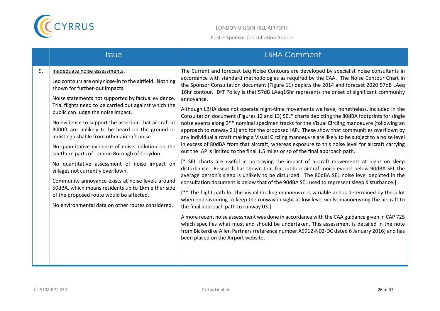

|    | <b>Issue</b>                                                                                                                                                                                                                                                                                                                                                                                                                                                                                                                                                                                                                                                                                                                                                                                                                                           | <b>LBHA Comment</b>                                                                                                                                                                                                                                                                                                                                                                                                                                                                                                                                                                                                                                                                                                                                                                                                                                                                                                                                                                                                                                                                                                                                                                                                                                                                                                                                                                                                                                                                                                                                                                                                                                                                                                                                                                                                                                                                                                                                                                                                                                                                            |
|----|--------------------------------------------------------------------------------------------------------------------------------------------------------------------------------------------------------------------------------------------------------------------------------------------------------------------------------------------------------------------------------------------------------------------------------------------------------------------------------------------------------------------------------------------------------------------------------------------------------------------------------------------------------------------------------------------------------------------------------------------------------------------------------------------------------------------------------------------------------|------------------------------------------------------------------------------------------------------------------------------------------------------------------------------------------------------------------------------------------------------------------------------------------------------------------------------------------------------------------------------------------------------------------------------------------------------------------------------------------------------------------------------------------------------------------------------------------------------------------------------------------------------------------------------------------------------------------------------------------------------------------------------------------------------------------------------------------------------------------------------------------------------------------------------------------------------------------------------------------------------------------------------------------------------------------------------------------------------------------------------------------------------------------------------------------------------------------------------------------------------------------------------------------------------------------------------------------------------------------------------------------------------------------------------------------------------------------------------------------------------------------------------------------------------------------------------------------------------------------------------------------------------------------------------------------------------------------------------------------------------------------------------------------------------------------------------------------------------------------------------------------------------------------------------------------------------------------------------------------------------------------------------------------------------------------------------------------------|
| 9. | Inadequate noise assessments.<br>Leq contours are only close-in to the airfield. Nothing<br>shown for further-out impacts.<br>Noise statements not supported by factual evidence.<br>Trial flights need to be carried out against which the<br>public can judge the noise impact.<br>No evidence to support the assertion that aircraft at<br>3000ft are unlikely to be heard on the ground or<br>indistinguishable from other aircraft noise.<br>No quantitative evidence of noise pollution on the<br>southern parts of London Borough of Croydon.<br>No quantitative assessment of noise impact on<br>villages not currently overflown.<br>Community annoyance exists at noise levels around<br>50dBA, which means residents up to 1km either side<br>of the proposed route would be affected.<br>No environmental data on other routes considered. | The Current and forecast Leq Noise Contours are developed by specialist noise consultants in<br>accordance with standard methodologies as required by the CAA. The Noise Contour Chart in<br>the Sponsor Consultation document (Figure 11) depicts the 2014 and forecast 2020 57dB LAeq<br>16hr contour. DfT Policy is that 57dB LAeq16hr represents the onset of significant community<br>annoyance.<br>Although LBHA does not operate night-time movements we have, nonetheless, included in the<br>Consultation document (Figures 12 and 13) SEL* charts depicting the 80dBA footprints for single<br>noise events along 3 <sup>**</sup> nominal specimen tracks for the Visual Circling manoeuvre (following an<br>approach to runway 21) and for the proposed IAP. These show that communities overflown by<br>any individual aircraft making a Visual Circling manoeuvre are likely to be subject to a noise level<br>in excess of 80dBA from that aircraft, whereas exposure to this noise level for aircraft carrying<br>out the IAP is limited to the final 1.5 miles or so of the final approach path.<br>[* SEL charts are useful in portraying the impact of aircraft movements at night on sleep<br>disturbance. Research has shown that for outdoor aircraft noise events below 90dBA SEL the<br>average person's sleep is unlikely to be disturbed. The 80dBA SEL noise level depicted in the<br>consultation document is below that of the 90dBA SEL used to represent sleep disturbance.]<br>[** The flight path for the Visual Circling manoeuvre is variable and is determined by the pilot<br>when endeavouring to keep the runway in sight at low level whilst manoeuvring the aircraft to<br>the final approach path to runway 03.]<br>A more recent noise assessment was done in accordance with the CAA guidance given in CAP 725<br>which specifies what must and should be undertaken. This assessment is detailed in the note<br>from Bickerdike Allen Partners (reference number A9912-N02-DC dated 6 January 2016) and has<br>been placed on the Airport website. |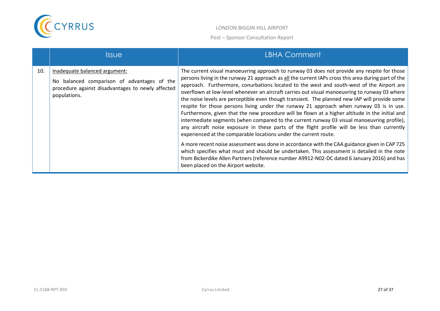

|     | <i><u><b>Issue</b></u></i>                                                                                                                        | LBHA Comment                                                                                                                                                                                                                                                                                                                                                                                                                                                                                                                                                                                                                                                                                                                                                                                                                                                                                                                                                                                                                                                                                                                                                                                                                                                                                           |
|-----|---------------------------------------------------------------------------------------------------------------------------------------------------|--------------------------------------------------------------------------------------------------------------------------------------------------------------------------------------------------------------------------------------------------------------------------------------------------------------------------------------------------------------------------------------------------------------------------------------------------------------------------------------------------------------------------------------------------------------------------------------------------------------------------------------------------------------------------------------------------------------------------------------------------------------------------------------------------------------------------------------------------------------------------------------------------------------------------------------------------------------------------------------------------------------------------------------------------------------------------------------------------------------------------------------------------------------------------------------------------------------------------------------------------------------------------------------------------------|
| 10. | Inadequate balanced argument:<br>No balanced comparison of advantages of the<br>procedure against disadvantages to newly affected<br>populations. | The current visual manoeuvring approach to runway 03 does not provide any respite for those<br>persons living in the runway 21 approach as all the current IAPs cross this area during part of the<br>approach. Furthermore, conurbations located to the west and south-west of the Airport are<br>overflown at low-level whenever an aircraft carries out visual manoeuvring to runway 03 where<br>the noise levels are perceptible even though transient. The planned new IAP will provide some<br>respite for those persons living under the runway 21 approach when runway 03 is in use.<br>Furthermore, given that the new procedure will be flown at a higher altitude in the initial and<br>intermediate segments (when compared to the current runway 03 visual manoeuvring profile),<br>any aircraft noise exposure in these parts of the flight profile will be less than currently<br>experienced at the comparable locations under the current route.<br>A more recent noise assessment was done in accordance with the CAA guidance given in CAP 725<br>which specifies what must and should be undertaken. This assessment is detailed in the note<br>from Bickerdike Allen Partners (reference number A9912-N02-DC dated 6 January 2016) and has<br>been placed on the Airport website. |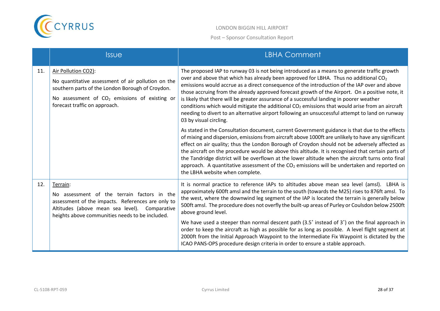

|     | <b>Issue</b>                                                                                                                                                                                                      | <b>LBHA Comment</b>                                                                                                                                                                                                                                                                                                                                                                                                                                                                                                                                                                                                                                                                                                   |
|-----|-------------------------------------------------------------------------------------------------------------------------------------------------------------------------------------------------------------------|-----------------------------------------------------------------------------------------------------------------------------------------------------------------------------------------------------------------------------------------------------------------------------------------------------------------------------------------------------------------------------------------------------------------------------------------------------------------------------------------------------------------------------------------------------------------------------------------------------------------------------------------------------------------------------------------------------------------------|
| 11. | Air Pollution CO2):<br>No quantitative assessment of air pollution on the<br>southern parts of the London Borough of Croydon.<br>No assessment of $CO2$ emissions of existing or<br>forecast traffic on approach. | The proposed IAP to runway 03 is not being introduced as a means to generate traffic growth<br>over and above that which has already been approved for LBHA. Thus no additional $CO2$<br>emissions would accrue as a direct consequence of the introduction of the IAP over and above<br>those accruing from the already approved forecast growth of the Airport. On a positive note, it<br>is likely that there will be greater assurance of a successful landing in poorer weather<br>conditions which would mitigate the additional $CO2$ emissions that would arise from an aircraft<br>needing to divert to an alternative airport following an unsuccessful attempt to land on runway<br>03 by visual circling. |
|     |                                                                                                                                                                                                                   | As stated in the Consultation document, current Government guidance is that due to the effects<br>of mixing and dispersion, emissions from aircraft above 1000ft are unlikely to have any significant<br>effect on air quality; thus the London Borough of Croydon should not be adversely affected as<br>the aircraft on the procedure would be above this altitude. It is recognised that certain parts of<br>the Tandridge district will be overflown at the lower altitude when the aircraft turns onto final<br>approach. A quantitative assessment of the $CO2$ emissions will be undertaken and reported on<br>the LBHA website when complete.                                                                 |
| 12. | Terrain:<br>No assessment of the terrain factors in the<br>assessment of the impacts. References are only to<br>Altitudes (above mean sea level). Comparative<br>heights above communities needs to be included.  | It is normal practice to reference IAPs to altitudes above mean sea level (amsl). LBHA is<br>approximately 600ft amsl and the terrain to the south (towards the M25) rises to 876ft amsl. To<br>the west, where the downwind leg segment of the IAP is located the terrain is generally below<br>500ft amsl. The procedure does not overfly the built-up areas of Purley or Coulsdon below 2500ft<br>above ground level.                                                                                                                                                                                                                                                                                              |
|     |                                                                                                                                                                                                                   | We have used a steeper than normal descent path $(3.5^{\circ})$ instead of 3°) on the final approach in<br>order to keep the aircraft as high as possible for as long as possible. A level flight segment at<br>2000ft from the Initial Approach Waypoint to the Intermediate Fix Waypoint is dictated by the<br>ICAO PANS-OPS procedure design criteria in order to ensure a stable approach.                                                                                                                                                                                                                                                                                                                        |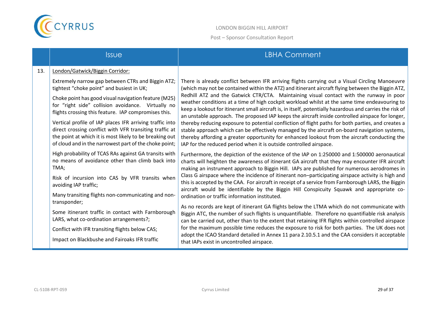

LONDON BIGGIN HILL AIRPORT Post – Sponsor Consultation Report

|     | <b>Issue</b>                                                                                                                                                                                                                                                                                                                                                                                                                                                                                                                                                                                                                                                                                                                                                                                                                                                                                                                                                                                                                    | <b>LBHA Comment</b>                                                                                                                                                                                                                                                                                                                                                                                                                                                                                                                                                                                                                                                                                                                                                                                                                                                                                                                                                                                                                                                                                                                                                                                                                                                                                                                                                                                                                                                                                                                                                                                                                                                                                                                                                                                                                                                                                                                                                                                                                                                                                                                                                                                                 |
|-----|---------------------------------------------------------------------------------------------------------------------------------------------------------------------------------------------------------------------------------------------------------------------------------------------------------------------------------------------------------------------------------------------------------------------------------------------------------------------------------------------------------------------------------------------------------------------------------------------------------------------------------------------------------------------------------------------------------------------------------------------------------------------------------------------------------------------------------------------------------------------------------------------------------------------------------------------------------------------------------------------------------------------------------|---------------------------------------------------------------------------------------------------------------------------------------------------------------------------------------------------------------------------------------------------------------------------------------------------------------------------------------------------------------------------------------------------------------------------------------------------------------------------------------------------------------------------------------------------------------------------------------------------------------------------------------------------------------------------------------------------------------------------------------------------------------------------------------------------------------------------------------------------------------------------------------------------------------------------------------------------------------------------------------------------------------------------------------------------------------------------------------------------------------------------------------------------------------------------------------------------------------------------------------------------------------------------------------------------------------------------------------------------------------------------------------------------------------------------------------------------------------------------------------------------------------------------------------------------------------------------------------------------------------------------------------------------------------------------------------------------------------------------------------------------------------------------------------------------------------------------------------------------------------------------------------------------------------------------------------------------------------------------------------------------------------------------------------------------------------------------------------------------------------------------------------------------------------------------------------------------------------------|
| 13. | London/Gatwick/Biggin Corridor:<br>Extremely narrow gap between CTRs and Biggin ATZ;<br>tightest "choke point" and busiest in UK;<br>Choke point has good visual navigation feature (M25)<br>for "right side" collision avoidance. Virtually no<br>flights crossing this feature. IAP compromises this.<br>Vertical profile of IAP places IFR arriving traffic into<br>direct crossing conflict with VFR transiting traffic at<br>the point at which it is most likely to be breaking out<br>of cloud and in the narrowest part of the choke point;<br>High probability of TCAS RAs against GA transits with<br>no means of avoidance other than climb back into<br>TMA;<br>Risk of incursion into CAS by VFR transits when<br>avoiding IAP traffic;<br>Many transiting flights non-communicating and non-<br>transponder;<br>Some itinerant traffic in contact with Farnborough<br>LARS, what co-ordination arrangements?;<br>Conflict with IFR transiting flights below CAS;<br>Impact on Blackbushe and Fairoaks IFR traffic | There is already conflict between IFR arriving flights carrying out a Visual Circling Manoeuvre<br>(which may not be contained within the ATZ) and itinerant aircraft flying between the Biggin ATZ,<br>Redhill ATZ and the Gatwick CTR/CTA. Maintaining visual contact with the runway in poor<br>weather conditions at a time of high cockpit workload whilst at the same time endeavouring to<br>keep a lookout for itinerant small aircraft is, in itself, potentially hazardous and carries the risk of<br>an unstable approach. The proposed IAP keeps the aircraft inside controlled airspace for longer,<br>thereby reducing exposure to potential confliction of flight paths for both parties, and creates a<br>stable approach which can be effectively managed by the aircraft on-board navigation systems,<br>thereby affording a greater opportunity for enhanced lookout from the aircraft conducting the<br>IAP for the reduced period when it is outside controlled airspace.<br>Furthermore, the depiction of the existence of the IAP on 1:250000 and 1:500000 aeronautical<br>charts will heighten the awareness of itinerant GA aircraft that they may encounter IFR aircraft<br>making an instrument approach to Biggin Hill. IAPs are published for numerous aerodromes in<br>Class G airspace where the incidence of itinerant non-participating airspace activity is high and<br>this is accepted by the CAA. For aircraft in receipt of a service from Farnborough LARS, the Biggin<br>aircraft would be identifiable by the Biggin Hill Conspicuity Squawk and appropriate co-<br>ordination or traffic information instituted.<br>As no records are kept of itinerant GA flights below the LTMA which do not communicate with<br>Biggin ATC, the number of such flights is unquantifiable. Therefore no quantifiable risk analysis<br>can be carried out, other than to the extent that retaining IFR flights within controlled airspace<br>for the maximum possible time reduces the exposure to risk for both parties. The UK does not<br>adopt the ICAO Standard detailed in Annex 11 para 2.10.5.1 and the CAA considers it acceptable<br>that IAPs exist in uncontrolled airspace. |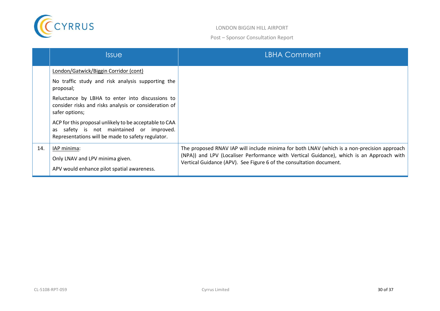

|     | <b>Issue</b>                                                                                                                                                                                                                                                                                                                                                                                     | <b>LBHA Comment</b>                                                                                                                                                                                                                                           |
|-----|--------------------------------------------------------------------------------------------------------------------------------------------------------------------------------------------------------------------------------------------------------------------------------------------------------------------------------------------------------------------------------------------------|---------------------------------------------------------------------------------------------------------------------------------------------------------------------------------------------------------------------------------------------------------------|
|     | London/Gatwick/Biggin Corridor (cont)<br>No traffic study and risk analysis supporting the<br>proposal;<br>Reluctance by LBHA to enter into discussions to<br>consider risks and risks analysis or consideration of<br>safer options;<br>ACP for this proposal unlikely to be acceptable to CAA<br>as safety is not maintained or improved.<br>Representations will be made to safety regulator. |                                                                                                                                                                                                                                                               |
| 14. | IAP minima:<br>Only LNAV and LPV minima given.<br>APV would enhance pilot spatial awareness.                                                                                                                                                                                                                                                                                                     | The proposed RNAV IAP will include minima for both LNAV (which is a non-precision approach<br>(NPA)) and LPV (Localiser Performance with Vertical Guidance), which is an Approach with<br>Vertical Guidance (APV). See Figure 6 of the consultation document. |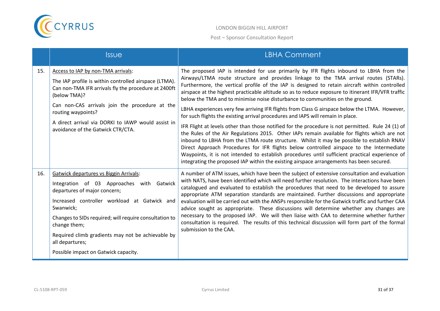

|     | <b>Issue</b>                                                                                                                                                                                                                                                                                                                                                                      | <b>LBHA Comment</b>                                                                                                                                                                                                                                                                                                                                                                                                                                                                                                                                                                                                                                                                                                                                                                                                                                                                                                                                                                                                                                                                                                                                                                                                                                     |
|-----|-----------------------------------------------------------------------------------------------------------------------------------------------------------------------------------------------------------------------------------------------------------------------------------------------------------------------------------------------------------------------------------|---------------------------------------------------------------------------------------------------------------------------------------------------------------------------------------------------------------------------------------------------------------------------------------------------------------------------------------------------------------------------------------------------------------------------------------------------------------------------------------------------------------------------------------------------------------------------------------------------------------------------------------------------------------------------------------------------------------------------------------------------------------------------------------------------------------------------------------------------------------------------------------------------------------------------------------------------------------------------------------------------------------------------------------------------------------------------------------------------------------------------------------------------------------------------------------------------------------------------------------------------------|
| 15. | Access to IAP by non-TMA arrivals:<br>The IAP profile is within controlled airspace (LTMA).<br>Can non-TMA IFR arrivals fly the procedure at 2400ft<br>(below TMA)?<br>Can non-CAS arrivals join the procedure at the<br>routing waypoints?<br>A direct arrival via DORKI to IAWP would assist in<br>avoidance of the Gatwick CTR/CTA.                                            | The proposed IAP is intended for use primarily by IFR flights inbound to LBHA from the<br>Airways/LTMA route structure and provides linkage to the TMA arrival routes (STARs).<br>Furthermore, the vertical profile of the IAP is designed to retain aircraft within controlled<br>airspace at the highest practicable altitude so as to reduce exposure to itinerant IFR/VFR traffic<br>below the TMA and to minimise noise disturbance to communities on the ground.<br>LBHA experiences very few arriving IFR flights from Class G airspace below the LTMA. However,<br>for such flights the existing arrival procedures and IAPS will remain in place.<br>IFR Flight at levels other than those notified for the procedure is not permitted. Rule 24 (1) of<br>the Rules of the Air Regulations 2015. Other IAPs remain available for flights which are not<br>inbound to LBHA from the LTMA route structure. Whilst it may be possible to establish RNAV<br>Direct Approach Procedures for IFR flights below controlled airspace to the Intermediate<br>Waypoints, it is not intended to establish procedures until sufficient practical experience of<br>integrating the proposed IAP within the existing airspace arrangements has been secured. |
| 16. | <b>Gatwick departures vs Biggin Arrivals:</b><br>Integration of 03 Approaches with Gatwick<br>departures of major concern;<br>Increased controller workload at Gatwick and<br>Swanwick;<br>Changes to SIDs required; will require consultation to<br>change them;<br>Required climb gradients may not be achievable by<br>all departures;<br>Possible impact on Gatwick capacity. | A number of ATM issues, which have been the subject of extensive consultation and evaluation<br>with NATS, have been identified which will need further resolution. The interactions have been<br>catalogued and evaluated to establish the procedures that need to be developed to assure<br>appropriate ATM separation standards are maintained. Further discussions and appropriate<br>evaluation will be carried out with the ANSPs responsible for the Gatwick traffic and further CAA<br>advice sought as appropriate. These discussions will determine whether any changes are<br>necessary to the proposed IAP. We will then liaise with CAA to determine whether further<br>consultation is required. The results of this technical discussion will form part of the formal<br>submission to the CAA.                                                                                                                                                                                                                                                                                                                                                                                                                                          |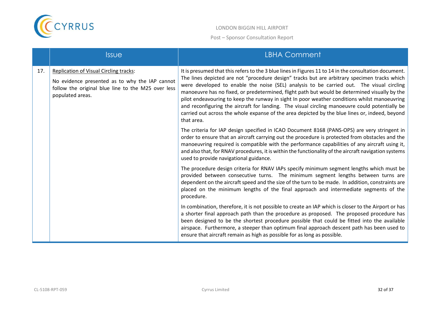

|     | <b>Issue</b>                                                                                                                                                              | <b>LBHA Comment</b>                                                                                                                                                                                                                                                                                                                                                                                                                                                                                                                                                                                                                                                                                                  |
|-----|---------------------------------------------------------------------------------------------------------------------------------------------------------------------------|----------------------------------------------------------------------------------------------------------------------------------------------------------------------------------------------------------------------------------------------------------------------------------------------------------------------------------------------------------------------------------------------------------------------------------------------------------------------------------------------------------------------------------------------------------------------------------------------------------------------------------------------------------------------------------------------------------------------|
| 17. | <b>Replication of Visual Circling tracks:</b><br>No evidence presented as to why the IAP cannot<br>follow the original blue line to the M25 over less<br>populated areas. | It is presumed that this refers to the 3 blue lines in Figures 11 to 14 in the consultation document.<br>The lines depicted are not "procedure design" tracks but are arbitrary specimen tracks which<br>were developed to enable the noise (SEL) analysis to be carried out. The visual circling<br>manoeuvre has no fixed, or predetermined, flight path but would be determined visually by the<br>pilot endeavouring to keep the runway in sight In poor weather conditions whilst manoeuvring<br>and reconfiguring the aircraft for landing. The visual circling manoeuvre could potentially be<br>carried out across the whole expanse of the area depicted by the blue lines or, indeed, beyond<br>that area. |
|     |                                                                                                                                                                           | The criteria for IAP design specified in ICAO Document 8168 (PANS-OPS) are very stringent in<br>order to ensure that an aircraft carrying out the procedure is protected from obstacles and the<br>manoeuvring required is compatible with the performance capabilities of any aircraft using it,<br>and also that, for RNAV procedures, it is within the functionality of the aircraft navigation systems<br>used to provide navigational guidance.                                                                                                                                                                                                                                                                 |
|     |                                                                                                                                                                           | The procedure design criteria for RNAV IAPs specify minimum segment lengths which must be<br>provided between consecutive turns. The minimum segment lengths between turns are<br>dependent on the aircraft speed and the size of the turn to be made. In addition, constraints are<br>placed on the minimum lengths of the final approach and intermediate segments of the<br>procedure.                                                                                                                                                                                                                                                                                                                            |
|     |                                                                                                                                                                           | In combination, therefore, it is not possible to create an IAP which is closer to the Airport or has<br>a shorter final approach path than the procedure as proposed. The proposed procedure has<br>been designed to be the shortest procedure possible that could be fitted into the available<br>airspace. Furthermore, a steeper than optimum final approach descent path has been used to<br>ensure that aircraft remain as high as possible for as long as possible.                                                                                                                                                                                                                                            |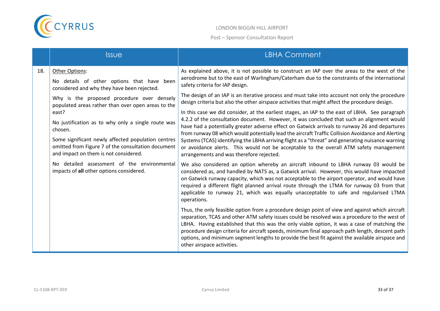

|     | <b>Issue</b>                                                                                                                                                                                                                | <b>LBHA Comment</b>                                                                                                                                                                                                                                                                                                                                                                                                                                                                                                                                                                                                                            |
|-----|-----------------------------------------------------------------------------------------------------------------------------------------------------------------------------------------------------------------------------|------------------------------------------------------------------------------------------------------------------------------------------------------------------------------------------------------------------------------------------------------------------------------------------------------------------------------------------------------------------------------------------------------------------------------------------------------------------------------------------------------------------------------------------------------------------------------------------------------------------------------------------------|
| 18. | Other Options:<br>No details of other options that have been<br>considered and why they have been rejected.                                                                                                                 | As explained above, it is not possible to construct an IAP over the areas to the west of the<br>aerodrome but to the east of Warlingham/Caterham due to the constraints of the international<br>safety criteria for IAP design.                                                                                                                                                                                                                                                                                                                                                                                                                |
|     | Why is the proposed procedure over densely<br>populated areas rather than over open areas to the                                                                                                                            | The design of an IAP is an iterative process and must take into account not only the procedure<br>design criteria but also the other airspace activities that might affect the procedure design.                                                                                                                                                                                                                                                                                                                                                                                                                                               |
|     | east?<br>No justification as to why only a single route was<br>chosen.<br>Some significant newly affected population centres<br>omitted from Figure 7 of the consultation document<br>and impact on them is not considered. | In this case we did consider, at the earliest stages, an IAP to the east of LBHA. See paragraph<br>4.2.2 of the consultation document. However, it was concluded that such an alignment would<br>have had a potentially greater adverse effect on Gatwick arrivals to runway 26 and departures<br>from runway 08 which would potentially lead the aircraft Traffic Collision Avoidance and Alerting<br>Systems (TCAS) identifying the LBHA arriving flight as a "threat" and generating nuisance warning<br>or avoidance alerts. This would not be acceptable to the overall ATM safety management<br>arrangements and was therefore rejected. |
|     | No detailed assessment of the environmental<br>impacts of all other options considered.                                                                                                                                     | We also considered an option whereby an aircraft inbound to LBHA runway 03 would be<br>considered as, and handled by NATS as, a Gatwick arrival. However, this would have impacted<br>on Gatwick runway capacity, which was not acceptable to the airport operator, and would have<br>required a different flight planned arrival route through the LTMA for runway 03 from that<br>applicable to runway 21, which was equally unacceptable to safe and regularised LTMA<br>operations.                                                                                                                                                        |
|     |                                                                                                                                                                                                                             | Thus, the only feasible option from a procedure design point of view and against which aircraft<br>separation, TCAS and other ATM safety issues could be resolved was a procedure to the west of<br>LBHA. Having established that this was the only viable option, it was a case of matching the<br>procedure design criteria for aircraft speeds, minimum final approach path length, descent path<br>options, and minimum segment lengths to provide the best fit against the available airspace and<br>other airspace activities.                                                                                                           |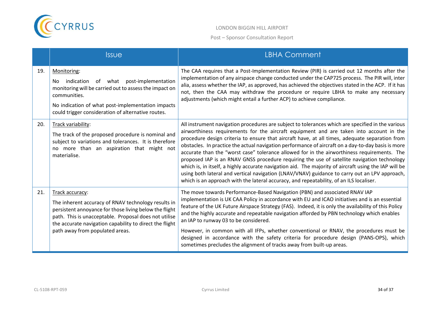

|     | <b>Issue</b>                                                                                                                                                                                                                                                                            | <b>LBHA Comment</b>                                                                                                                                                                                                                                                                                                                                                                                                                                                                                                                                                                                                                                                                                                                                                                                                                                                                                     |
|-----|-----------------------------------------------------------------------------------------------------------------------------------------------------------------------------------------------------------------------------------------------------------------------------------------|---------------------------------------------------------------------------------------------------------------------------------------------------------------------------------------------------------------------------------------------------------------------------------------------------------------------------------------------------------------------------------------------------------------------------------------------------------------------------------------------------------------------------------------------------------------------------------------------------------------------------------------------------------------------------------------------------------------------------------------------------------------------------------------------------------------------------------------------------------------------------------------------------------|
| 19. | Monitoring:<br>indication of what post-implementation<br>No.<br>monitoring will be carried out to assess the impact on<br>communities.<br>No indication of what post-implementation impacts<br>could trigger consideration of alternative routes.                                       | The CAA requires that a Post-Implementation Review (PIR) is carried out 12 months after the<br>implementation of any airspace change conducted under the CAP725 process. The PIR will, inter<br>alia, assess whether the IAP, as approved, has achieved the objectives stated in the ACP. If it has<br>not, then the CAA may withdraw the procedure or require LBHA to make any necessary<br>adjustments (which might entail a further ACP) to achieve compliance.                                                                                                                                                                                                                                                                                                                                                                                                                                      |
| 20. | Track variability:<br>The track of the proposed procedure is nominal and<br>subject to variations and tolerances. It is therefore<br>no more than an aspiration that might not<br>materialise.                                                                                          | All instrument navigation procedures are subject to tolerances which are specified in the various<br>airworthiness requirements for the aircraft equipment and are taken into account in the<br>procedure design criteria to ensure that aircraft have, at all times, adequate separation from<br>obstacles. In practice the actual navigation performance of aircraft on a day-to-day basis is more<br>accurate than the "worst case" tolerance allowed for in the airworthiness requirements. The<br>proposed IAP is an RNAV GNSS procedure requiring the use of satellite navigation technology<br>which is, in itself, a highly accurate navigation aid. The majority of aircraft using the IAP will be<br>using both lateral and vertical navigation (LNAV/VNAV) guidance to carry out an LPV approach,<br>which is an approach with the lateral accuracy, and repeatability, of an ILS localiser. |
| 21. | Track accuracy:<br>The inherent accuracy of RNAV technology results in<br>persistent annoyance for those living below the flight<br>path. This is unacceptable. Proposal does not utilise<br>the accurate navigation capability to direct the flight<br>path away from populated areas. | The move towards Performance-Based Navigation (PBN) and associated RNAV IAP<br>implementation is UK CAA Policy in accordance with EU and ICAO initiatives and is an essential<br>feature of the UK Future Airspace Strategy (FAS). Indeed, it is only the availability of this Policy<br>and the highly accurate and repeatable navigation afforded by PBN technology which enables<br>an IAP to runway 03 to be considered.<br>However, in common with all IFPs, whether conventional or RNAV, the procedures must be<br>designed in accordance with the safety criteria for procedure design (PANS-OPS), which<br>sometimes precludes the alignment of tracks away from built-up areas.                                                                                                                                                                                                               |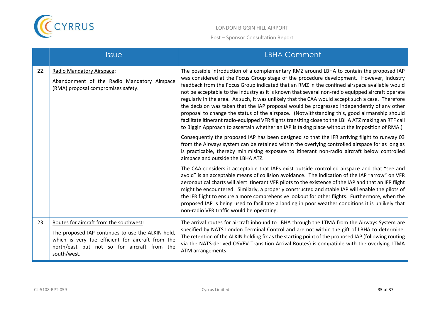

|     | <b>Issue</b>                                                                                                                                                                                                     | <b>LBHA Comment</b>                                                                                                                                                                                                                                                                                                                                                                                                                                                                                                                                                                                                                                                                                                                                                                                                                                                                                  |
|-----|------------------------------------------------------------------------------------------------------------------------------------------------------------------------------------------------------------------|------------------------------------------------------------------------------------------------------------------------------------------------------------------------------------------------------------------------------------------------------------------------------------------------------------------------------------------------------------------------------------------------------------------------------------------------------------------------------------------------------------------------------------------------------------------------------------------------------------------------------------------------------------------------------------------------------------------------------------------------------------------------------------------------------------------------------------------------------------------------------------------------------|
| 22. | Radio Mandatory Airspace:<br>Abandonment of the Radio Mandatory Airspace<br>(RMA) proposal compromises safety.                                                                                                   | The possible introduction of a complementary RMZ around LBHA to contain the proposed IAP<br>was considered at the Focus Group stage of the procedure development. However, Industry<br>feedback from the Focus Group indicated that an RMZ in the confined airspace available would<br>not be acceptable to the Industry as it is known that several non-radio equipped aircraft operate<br>regularly in the area. As such, it was unlikely that the CAA would accept such a case. Therefore<br>the decision was taken that the IAP proposal would be progressed independently of any other<br>proposal to change the status of the airspace. (Notwithstanding this, good airmanship should<br>facilitate itinerant radio-equipped VFR flights transiting close to the LBHA ATZ making an RTF call<br>to Biggin Approach to ascertain whether an IAP is taking place without the imposition of RMA.) |
|     |                                                                                                                                                                                                                  | Consequently the proposed IAP has been designed so that the IFR arriving flight to runway 03<br>from the Airways system can be retained within the overlying controlled airspace for as long as<br>is practicable, thereby minimising exposure to itinerant non-radio aircraft below controlled<br>airspace and outside the LBHA ATZ.                                                                                                                                                                                                                                                                                                                                                                                                                                                                                                                                                                |
|     |                                                                                                                                                                                                                  | The CAA considers it acceptable that IAPs exist outside controlled airspace and that "see and<br>avoid" is an acceptable means of collision avoidance. The indication of the IAP "arrow" on VFR<br>aeronautical charts will alert itinerant VFR pilots to the existence of the IAP and that an IFR flight<br>might be encountered. Similarly, a properly constructed and stable IAP will enable the pilots of<br>the IFR flight to ensure a more comprehensive lookout for other flights. Furthermore, when the<br>proposed IAP is being used to facilitate a landing in poor weather conditions it is unlikely that<br>non-radio VFR traffic would be operating.                                                                                                                                                                                                                                    |
| 23. | Routes for aircraft from the southwest:<br>The proposed IAP continues to use the ALKIN hold,<br>which is very fuel-efficient for aircraft from the<br>north/east but not so for aircraft from the<br>south/west. | The arrival routes for aircraft inbound to LBHA through the LTMA from the Airways System are<br>specified by NATS London Terminal Control and are not within the gift of LBHA to determine.<br>The retention of the ALKIN holding fix as the starting point of the proposed IAP (following routing<br>via the NATS-derived OSVEV Transition Arrival Routes) is compatible with the overlying LTMA<br>ATM arrangements.                                                                                                                                                                                                                                                                                                                                                                                                                                                                               |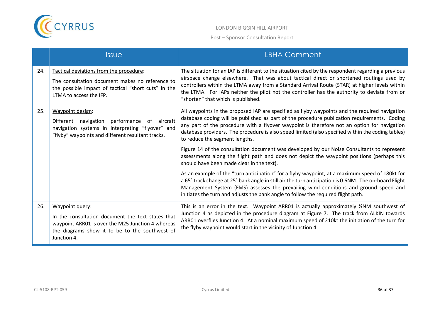

|     | <b>Issue</b>                                                                                                                                                                               | <b>LBHA Comment</b>                                                                                                                                                                                                                                                                                                                                                                                                                   |
|-----|--------------------------------------------------------------------------------------------------------------------------------------------------------------------------------------------|---------------------------------------------------------------------------------------------------------------------------------------------------------------------------------------------------------------------------------------------------------------------------------------------------------------------------------------------------------------------------------------------------------------------------------------|
| 24. | Tactical deviations from the procedure:<br>The consultation document makes no reference to<br>the possible impact of tactical "short cuts" in the<br>LTMA to access the IFP.               | The situation for an IAP is different to the situation cited by the respondent regarding a previous<br>airspace change elsewhere. That was about tactical direct or shortened routings used by<br>controllers within the LTMA away from a Standard Arrival Route (STAR) at higher levels within<br>the LTMA. For IAPs neither the pilot not the controller has the authority to deviate from or<br>"shorten" that which is published. |
| 25. | Waypoint design:<br>performance<br>Different navigation<br>of aircraft<br>navigation systems in interpreting "flyover" and<br>"flyby" waypoints and different resultant tracks.            | All waypoints in the proposed IAP are specified as flyby waypoints and the required navigation<br>database coding will be published as part of the procedure publication requirements. Coding<br>any part of the procedure with a flyover waypoint is therefore not an option for navigation<br>database providers. The procedure is also speed limited (also specified within the coding tables)<br>to reduce the segment lengths.   |
|     |                                                                                                                                                                                            | Figure 14 of the consultation document was developed by our Noise Consultants to represent<br>assessments along the flight path and does not depict the waypoint positions (perhaps this<br>should have been made clear in the text).                                                                                                                                                                                                 |
|     |                                                                                                                                                                                            | As an example of the "turn anticipation" for a flyby waypoint, at a maximum speed of 180kt for<br>a 65° track change at 25° bank angle in still air the turn anticipation is 0.6NM. The on-board Flight<br>Management System (FMS) assesses the prevailing wind conditions and ground speed and<br>initiates the turn and adjusts the bank angle to follow the required flight path.                                                  |
| 26. | Waypoint query:<br>In the consultation document the text states that<br>waypoint ARR01 is over the M25 Junction 4 whereas<br>the diagrams show it to be to the southwest of<br>Junction 4. | This is an error in the text. Waypoint ARR01 is actually approximately $\frac{1}{2}NM$ southwest of<br>Junction 4 as depicted in the procedure diagram at Figure 7. The track from ALKIN towards<br>ARR01 overflies Junction 4. At a nominal maximum speed of 210kt the initiation of the turn for<br>the flyby waypoint would start in the vicinity of Junction 4.                                                                   |